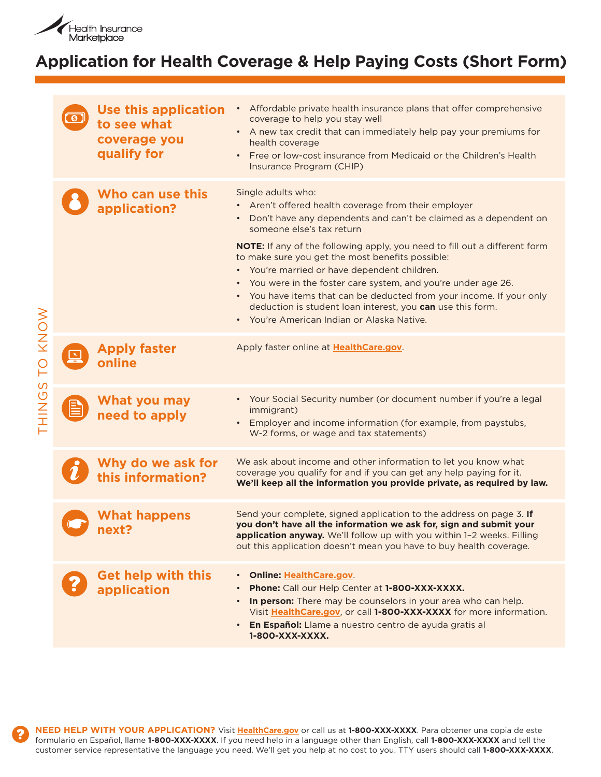

### **Application for Health Coverage & Help Paying Costs (Short Form)**

| TO KNOW<br>THINGS |              | <b>Use this application</b><br>to see what<br>coverage you<br>qualify for | Affordable private health insurance plans that offer comprehensive<br>coverage to help you stay well<br>• A new tax credit that can immediately help pay your premiums for<br>health coverage<br>• Free or low-cost insurance from Medicaid or the Children's Health<br>Insurance Program (CHIP)                                                                                                                                                                                                                                                                                                                                        |
|-------------------|--------------|---------------------------------------------------------------------------|-----------------------------------------------------------------------------------------------------------------------------------------------------------------------------------------------------------------------------------------------------------------------------------------------------------------------------------------------------------------------------------------------------------------------------------------------------------------------------------------------------------------------------------------------------------------------------------------------------------------------------------------|
|                   |              | Who can use this<br>application?                                          | Single adults who:<br>• Aren't offered health coverage from their employer<br>Don't have any dependents and can't be claimed as a dependent on<br>$\bullet$<br>someone else's tax return<br><b>NOTE:</b> If any of the following apply, you need to fill out a different form<br>to make sure you get the most benefits possible:<br>• You're married or have dependent children.<br>• You were in the foster care system, and you're under age 26.<br>• You have items that can be deducted from your income. If your only<br>deduction is student loan interest, you can use this form.<br>• You're American Indian or Alaska Native. |
|                   | $\mathbb{R}$ | <b>Apply faster</b><br>online                                             | Apply faster online at HealthCare.gov.                                                                                                                                                                                                                                                                                                                                                                                                                                                                                                                                                                                                  |
|                   |              | What you may<br>need to apply                                             | • Your Social Security number (or document number if you're a legal<br>immigrant)<br>• Employer and income information (for example, from paystubs,<br>W-2 forms, or wage and tax statements)                                                                                                                                                                                                                                                                                                                                                                                                                                           |
|                   |              | Why do we ask for<br>this information?                                    | We ask about income and other information to let you know what<br>coverage you qualify for and if you can get any help paying for it.<br>We'll keep all the information you provide private, as required by law.                                                                                                                                                                                                                                                                                                                                                                                                                        |
|                   |              | <b>What happens</b><br>next?                                              | Send your complete, signed application to the address on page 3. If<br>you don't have all the information we ask for, sign and submit your<br>application anyway. We'll follow up with you within 1-2 weeks. Filling<br>out this application doesn't mean you have to buy health coverage.                                                                                                                                                                                                                                                                                                                                              |
|                   |              | <b>Get help with this</b><br>application                                  | • Online: HealthCare.gov.<br>Phone: Call our Help Center at 1-800-XXX-XXXX.<br>In person: There may be counselors in your area who can help.<br>$\bullet$<br>Visit HealthCare.gov, or call 1-800-XXX-XXXX for more information.<br>• En Español: Llame a nuestro centro de ayuda gratis al<br>1-800-XXX-XXXX.                                                                                                                                                                                                                                                                                                                           |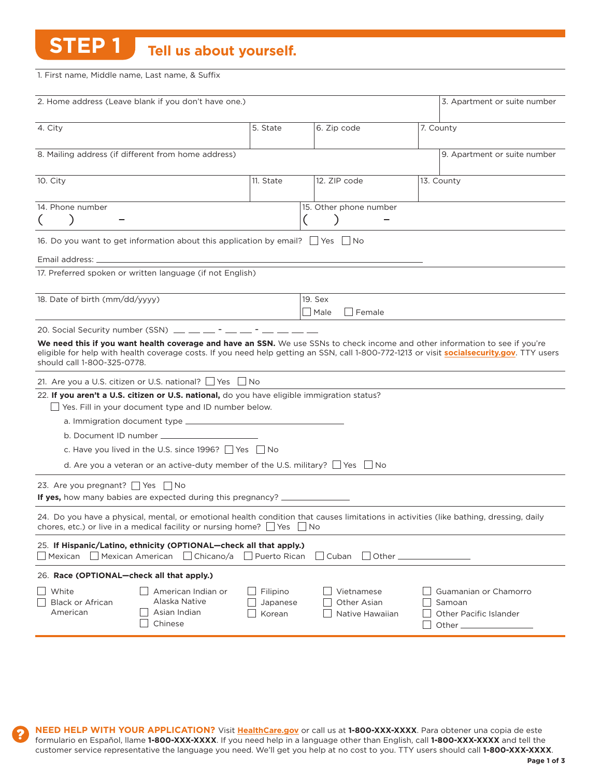**STEP 1** Tell us about yourself.

1. First name, Middle name, Last name, & suffix

| 2. Home address (Leave blank if you don't have one.)                                                                                                |                                                      |                                              | 3. Apartment or suite number                                                                                                                                                                                                                                              |
|-----------------------------------------------------------------------------------------------------------------------------------------------------|------------------------------------------------------|----------------------------------------------|---------------------------------------------------------------------------------------------------------------------------------------------------------------------------------------------------------------------------------------------------------------------------|
| 4. City                                                                                                                                             | 5. State                                             | 6. Zip code                                  | 7. County                                                                                                                                                                                                                                                                 |
| 8. Mailing address (if different from home address)                                                                                                 |                                                      |                                              | 9. Apartment or suite number                                                                                                                                                                                                                                              |
| 10. City                                                                                                                                            | 11. State                                            | 12. ZIP code                                 | 13. County                                                                                                                                                                                                                                                                |
| 14. Phone number                                                                                                                                    |                                                      | 15. Other phone number                       |                                                                                                                                                                                                                                                                           |
| 16. Do you want to get information about this application by email? $\Box$ Yes $\Box$ No                                                            |                                                      |                                              |                                                                                                                                                                                                                                                                           |
| Email address: _                                                                                                                                    |                                                      |                                              |                                                                                                                                                                                                                                                                           |
| 17. Preferred spoken or written language (if not English)                                                                                           |                                                      |                                              |                                                                                                                                                                                                                                                                           |
| 18. Date of birth (mm/dd/yyyy)                                                                                                                      |                                                      | 19. Sex                                      |                                                                                                                                                                                                                                                                           |
|                                                                                                                                                     |                                                      | Male<br>Female                               |                                                                                                                                                                                                                                                                           |
| 20. Social Security number (SSN) $\_\_\_\_\_\_\_$ - _ _ _ - _ - _ _                                                                                 |                                                      |                                              |                                                                                                                                                                                                                                                                           |
| should call 1-800-325-0778.                                                                                                                         |                                                      |                                              | We need this if you want health coverage and have an SSN. We use SSNs to check income and other information to see if you're<br>eligible for help with health coverage costs. If you need help getting an SSN, call 1-800-772-1213 or visit socialsecurity.gov. TTY users |
| 21. Are you a U.S. citizen or U.S. national? □ Yes □ No                                                                                             |                                                      |                                              |                                                                                                                                                                                                                                                                           |
| 22. If you aren't a U.S. citizen or U.S. national, do you have eligible immigration status?<br>Yes. Fill in your document type and ID number below. |                                                      |                                              |                                                                                                                                                                                                                                                                           |
|                                                                                                                                                     |                                                      |                                              |                                                                                                                                                                                                                                                                           |
| b. Document ID number _____________                                                                                                                 |                                                      |                                              |                                                                                                                                                                                                                                                                           |
| c. Have you lived in the U.S. since 1996? $\Box$ Yes $\Box$ No                                                                                      |                                                      |                                              |                                                                                                                                                                                                                                                                           |
| d. Are you a veteran or an active-duty member of the U.S. military? $\Box$ Yes $\Box$ No                                                            |                                                      |                                              |                                                                                                                                                                                                                                                                           |
| 23. Are you pregnant? ■ Yes ■ No<br><b>If yes,</b> how many babies are expected during this pregnancy?                                              |                                                      |                                              |                                                                                                                                                                                                                                                                           |
| chores, etc.) or live in a medical facility or nursing home? $\Box$ Yes $\Box$ No                                                                   |                                                      |                                              | 24. Do you have a physical, mental, or emotional health condition that causes limitations in activities (like bathing, dressing, daily                                                                                                                                    |
| 25. If Hispanic/Latino, ethnicity (OPTIONAL-check all that apply.)<br>    Mexican<br>Mexican American                                               | $\Box$ Chicano/a<br>  Puerto Rican                   | Cuban                                        | Other                                                                                                                                                                                                                                                                     |
| 26. Race (OPTIONAL-check all that apply.)                                                                                                           |                                                      |                                              |                                                                                                                                                                                                                                                                           |
| White<br>Alaska Native<br><b>Black or African</b><br>American<br>Asian Indian<br>Chinese                                                            | American Indian or<br>Filipino<br>Japanese<br>Korean | Vietnamese<br>Other Asian<br>Native Hawaiian | Guamanian or Chamorro<br>Samoan<br>Other Pacific Islander<br>Other $\equiv$                                                                                                                                                                                               |

**NEED HELP WITH YOUR APPLICATION?** Visit **HealthCare.gov** or call us at **1-800-XXX-XXXX**. Para obtener una copia de este formulario en Español, llame **1-800-XXX-XXXX**. If you need help in a language other than English, call **1-800-XXX-XXXX** and tell the customer service representative the language you need. We'll get you help at no cost to you. TTY users should call **1-800-XXX-XXXX**.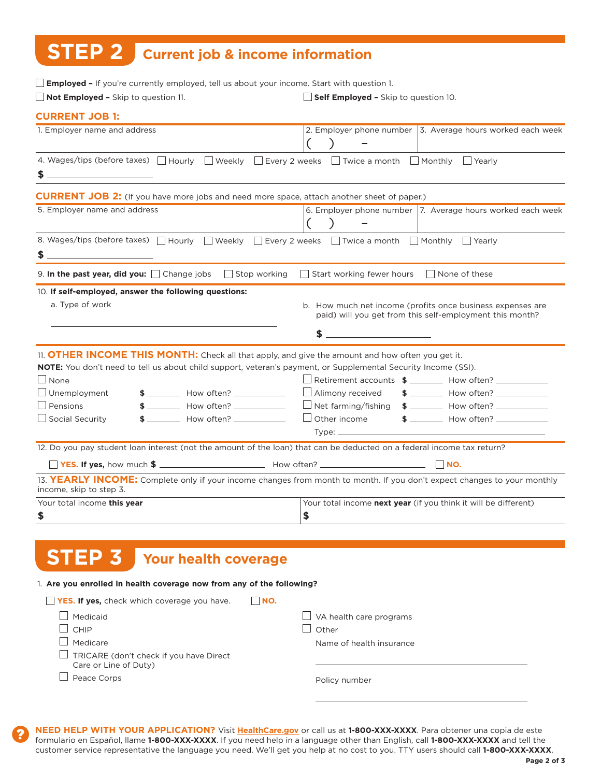# **STEP 2 Current job & income information**

| <b>Employed -</b> If you're currently employed, tell us about your income. Start with question 1.                                                                                                                                               |                                                                                                                          |
|-------------------------------------------------------------------------------------------------------------------------------------------------------------------------------------------------------------------------------------------------|--------------------------------------------------------------------------------------------------------------------------|
| $\Box$ Not Employed - Skip to question 11.                                                                                                                                                                                                      | $\Box$ Self Employed - Skip to question 10.                                                                              |
| <b>CURRENT JOB 1:</b>                                                                                                                                                                                                                           |                                                                                                                          |
| 1. Employer name and address                                                                                                                                                                                                                    | 2. Employer phone number   3. Average hours worked each week                                                             |
| 4. Wages/tips (before taxes) $\Box$ Hourly $\Box$ Weekly $\Box$ Every 2 weeks $\Box$ Twice a month $\Box$ Monthly $\Box$ Yearly                                                                                                                 |                                                                                                                          |
| <b>CURRENT JOB 2:</b> (If you have more jobs and need more space, attach another sheet of paper.)                                                                                                                                               |                                                                                                                          |
| 5. Employer name and address                                                                                                                                                                                                                    | 6. Employer phone number 7. Average hours worked each week                                                               |
| 8. Wages/tips (before taxes) □ Hourly                                                                                                                                                                                                           | □ Weekly □ Every 2 weeks □ Twice a month □ Monthly □ Yearly                                                              |
| 9. In the past year, did you: $\Box$ Change jobs $\Box$ Stop working $\Box$ Start working fewer hours $\Box$ None of these                                                                                                                      |                                                                                                                          |
| 10. If self-employed, answer the following questions:<br>a. Type of work                                                                                                                                                                        | b. How much net income (profits once business expenses are<br>paid) will you get from this self-employment this month?   |
| 11. <b>OTHER INCOME THIS MONTH:</b> Check all that apply, and give the amount and how often you get it.<br><b>NOTE:</b> You don't need to tell us about child support, veteran's payment, or Supplemental Security Income (SSI).<br>$\Box$ None | $\Box$ Retirement accounts $\frac{2}{\pi}$ $\Box$ How often? $\Box$                                                      |
| $\Box$ Unemployment<br>$$$ $\sim$ How often? $\sim$                                                                                                                                                                                             | $\Box$ Alimony received                                                                                                  |
| $\Box$ Pensions<br>$$$ $$$ $$$<br>$\Box$ Social Security<br>$$$ $\sim$ How often? $\sim$                                                                                                                                                        | $\Box$ Other income<br>$$$ $$\sim$ How often? $$\sim$<br>Type: $\_\_$                                                    |
| 12. Do you pay student loan interest (not the amount of the loan) that can be deducted on a federal income tax return?                                                                                                                          |                                                                                                                          |
|                                                                                                                                                                                                                                                 |                                                                                                                          |
| income, skip to step 3.                                                                                                                                                                                                                         | 13. YEARLY INCOME: Complete only if your income changes from month to month. If you don't expect changes to your monthly |
| Your total income this year<br>\$                                                                                                                                                                                                               | Your total income next year (if you think it will be different)<br>\$                                                    |
|                                                                                                                                                                                                                                                 |                                                                                                                          |
| <b>Your health coverage</b>                                                                                                                                                                                                                     |                                                                                                                          |

#### 1. **Are you enrolled in health coverage now from any of the following?**

| <b>YES. If yes, check which coverage you have.</b>               | INO.                                    |
|------------------------------------------------------------------|-----------------------------------------|
| Medicaid<br><b>CHIP</b>                                          | $\Box$ VA health care programs<br>Other |
| Medicare                                                         | Name of health insurance                |
| TRICARE (don't check if you have Direct<br>Care or Line of Duty) |                                         |
| Peace Corps                                                      | Policy number                           |

**NEED HELP WITH YOUR APPLICATION?** Visit **HealthCare.gov** or call us at **1-800-XXX-XXXX**. Para obtener una copia de este formulario en Español, llame **1-800-XXX-XXXX**. If you need help in a language other than English, call **1-800-XXX-XXXX** and tell the customer service representative the language you need. We'll get you help at no cost to you. TTY users should call **1-800-XXX-XXXX**.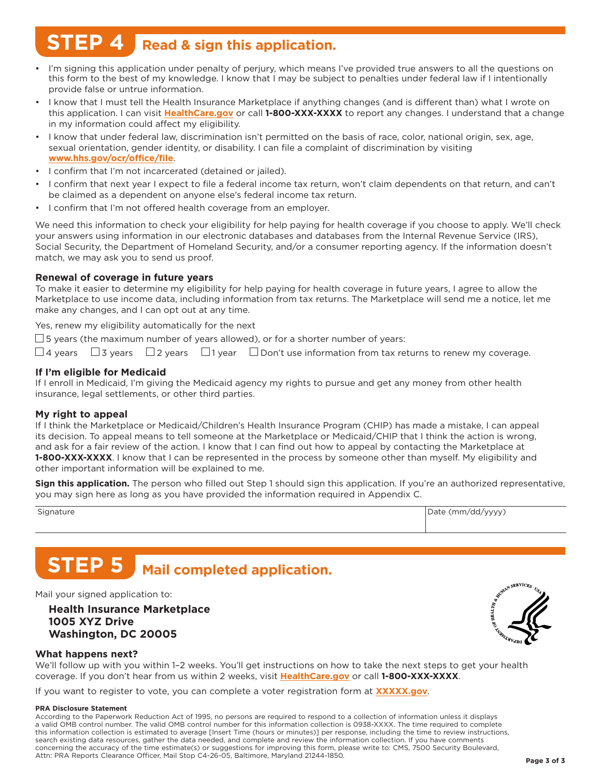# **STEP 4 Read & sign this application.**

- I'm signing this application under penalty of perjury, which means I've provided true answers to all the questions on this form to the best of my knowledge. I know that I may be subject to penalties under federal law if I intentionally provide false or untrue information.
- I know that I must tell the Health Insurance Marketplace if anything changes (and is different than) what I wrote on this application. i can visit **HealthCare.gov** or call **1-800-XXX-XXXX** to report any changes. i understand that a change in my information could affect my eligibility.
- I know that under federal law, discrimination isn't permitted on the basis of race, color, national origin, sex, age, sexual orientation, gender identity, or disability. I can file a complaint of discrimination by visiting **www.hhs.gov/ocr/office/file**.
- I confirm that I'm not incarcerated (detained or jailed).
- I confirm that next year I expect to file a federal income tax return, won't claim dependents on that return, and can't be claimed as a dependent on anyone else's federal income tax return.
- I confirm that I'm not offered health coverage from an employer.

We need this information to check your eligibility for help paying for health coverage if you choose to apply. We'll check your answers using information in our electronic databases and databases from the internal Revenue service (iRs), social security, the Department of homeland security, and/or a consumer reporting agency. if the information doesn't match, we may ask you to send us proof.

### **Renewal of coverage in future years**

To make it easier to determine my eligibility for help paying for health coverage in future years, I agree to allow the Marketplace to use income data, including information from tax returns. the Marketplace will send me a notice, let me make any changes, and I can opt out at any time.

Yes, renew my eligibility automatically for the next

 $\square$  5 years (the maximum number of years allowed), or for a shorter number of years:

 $\Box$ 4 years  $\Box$ 3 years  $\Box$ 2 years  $\Box$ 1 year  $\Box$  Don't use information from tax returns to renew my coverage.

### **If I'm eligible for medicaid**

If I enroll in Medicaid, I'm giving the Medicaid agency my rights to pursue and get any money from other health insurance, legal settlements, or other third parties.

### **my right to appeal**

If I think the Marketplace or Medicaid/Children's Health Insurance Program (CHIP) has made a mistake, I can appeal its decision. To appeal means to tell someone at the Marketplace or Medicaid/CHIP that I think the action is wrong, and ask for a fair review of the action. I know that I can find out how to appeal by contacting the Marketplace at 1-800-XXX-XXXX. I know that I can be represented in the process by someone other than myself. My eligibility and other important information will be explained to me.

**Sign this application.** the person who filled out step 1 should sign this application. if you're an authorized representative, you may sign here as long as you have provided the information required in Appendix C.

| Signature | Date (mm/dd/yyyy) |
|-----------|-------------------|
|           |                   |

# **STEP 5** Mail completed application.

Mail your signed application to:

**Health Insurance marketplace 1005 XYZ Drive Washington, DC 20005**



### **What happens next?**

we'll follow up with you within 1–2 weeks. You'll get instructions on how to take the next steps to get your health coverage. if you don't hear from us within 2 weeks, visit **HealthCare.gov** or call **1-800-XXX-XXXX**.

if you want to register to vote, you can complete a voter registration form at **XXXXX.gov**.

#### **PRA Disclosure Statement**

According to the Paperwork Reduction Act of 1995, no persons are required to respond to a collection of information unless it displays a valid OMB control number. The valid OMB control number for this information collection is 0938-XXXX. The time required to complete this information collection is estimated to average [Insert Time (hours or minutes)] per response, including the time to review instructions, search existing data resources, gather the data needed, and complete and review the information collection. if you have comments concerning the accuracy of the time estimate(s) or suggestions for improving this form, please write to: CMs, 7500 security Boulevard, Attn: PRA Reports Clearance Officer, Mail Stop C4-26-05, Baltimore, Maryland 21244-1850.